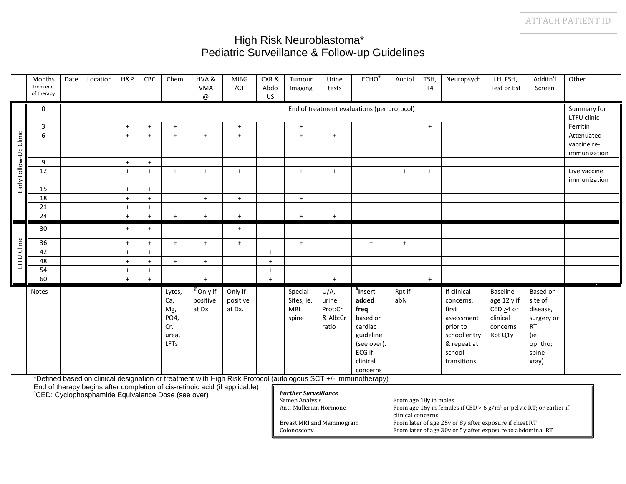## High Risk Neuroblastoma\* Pediatric Surveillance & Follow-up Guidelines

|                        | Months<br>from end<br>of therapy | Date | Location | H&P | CBC | Chem                                                        | HVA&<br><b>VMA</b>                        | <b>MIBG</b><br>/CT            | CXR&<br>Abdo | Tumour<br>Imaging                            | Urine<br>tests                                | $ECHO^{\#}$                                                                                                                                                                                                                        | Audiol        | TSH,<br>T <sub>4</sub> | Neuropsych                                                                                                          | LH, FSH,<br>Test or Est                                                               | Additn'l<br>Screen                                                                             | Other                      |
|------------------------|----------------------------------|------|----------|-----|-----|-------------------------------------------------------------|-------------------------------------------|-------------------------------|--------------|----------------------------------------------|-----------------------------------------------|------------------------------------------------------------------------------------------------------------------------------------------------------------------------------------------------------------------------------------|---------------|------------------------|---------------------------------------------------------------------------------------------------------------------|---------------------------------------------------------------------------------------|------------------------------------------------------------------------------------------------|----------------------------|
|                        | $\mathbf 0$                      |      |          |     |     |                                                             | @                                         |                               | US           |                                              |                                               | End of treatment evaluations (per protocol)                                                                                                                                                                                        |               |                        |                                                                                                                     |                                                                                       |                                                                                                | Summary for<br>LTFU clinic |
|                        | $\overline{3}$                   |      |          | $+$ | $+$ | $+$                                                         |                                           | $+$                           |              | $+$                                          |                                               |                                                                                                                                                                                                                                    |               | $+$                    |                                                                                                                     |                                                                                       |                                                                                                | Ferritin                   |
|                        | 6                                |      |          | $+$ | $+$ | $+$                                                         | $+$                                       | $+$                           |              | $+$                                          | $+$                                           |                                                                                                                                                                                                                                    |               |                        |                                                                                                                     |                                                                                       |                                                                                                | Attenuated                 |
|                        |                                  |      |          |     |     |                                                             |                                           |                               |              |                                              |                                               |                                                                                                                                                                                                                                    |               |                        |                                                                                                                     |                                                                                       |                                                                                                | vaccine re-                |
|                        |                                  |      |          |     |     |                                                             |                                           |                               |              |                                              |                                               |                                                                                                                                                                                                                                    |               |                        |                                                                                                                     |                                                                                       |                                                                                                | immunization               |
| Early Follow-Up Clinic | 9                                |      |          | $+$ | $+$ |                                                             |                                           |                               |              |                                              |                                               |                                                                                                                                                                                                                                    |               |                        |                                                                                                                     |                                                                                       |                                                                                                |                            |
|                        | 12                               |      |          | $+$ | $+$ | $+$                                                         | $+$                                       | $+$                           |              | $+$                                          | $+$                                           | $+$                                                                                                                                                                                                                                | $+$           | $+$                    |                                                                                                                     |                                                                                       |                                                                                                | Live vaccine               |
|                        |                                  |      |          |     |     |                                                             |                                           |                               |              |                                              |                                               |                                                                                                                                                                                                                                    |               |                        |                                                                                                                     |                                                                                       |                                                                                                | immunization               |
|                        | 15                               |      |          | $+$ | $+$ |                                                             |                                           |                               |              |                                              |                                               |                                                                                                                                                                                                                                    |               |                        |                                                                                                                     |                                                                                       |                                                                                                |                            |
|                        | 18                               |      |          | $+$ | $+$ |                                                             | $+$                                       | $+$                           |              | $+$                                          |                                               |                                                                                                                                                                                                                                    |               |                        |                                                                                                                     |                                                                                       |                                                                                                |                            |
|                        | 21                               |      |          | $+$ | $+$ |                                                             |                                           |                               |              |                                              |                                               |                                                                                                                                                                                                                                    |               |                        |                                                                                                                     |                                                                                       |                                                                                                |                            |
|                        | 24                               |      |          | $+$ | $+$ | $+$                                                         | $+$                                       | $+$                           |              | $+$                                          | $+$                                           |                                                                                                                                                                                                                                    |               |                        |                                                                                                                     |                                                                                       |                                                                                                |                            |
|                        | 30                               |      |          | $+$ | $+$ |                                                             |                                           | $+$                           |              |                                              |                                               |                                                                                                                                                                                                                                    |               |                        |                                                                                                                     |                                                                                       |                                                                                                |                            |
|                        | 36                               |      |          | $+$ | $+$ | $+$                                                         | $+$                                       | $+$                           |              | $+$                                          |                                               | $+$                                                                                                                                                                                                                                | $+$           |                        |                                                                                                                     |                                                                                       |                                                                                                |                            |
| LTFU Clinic            | 42                               |      |          | $+$ | $+$ |                                                             |                                           |                               | $+$          |                                              |                                               |                                                                                                                                                                                                                                    |               |                        |                                                                                                                     |                                                                                       |                                                                                                |                            |
|                        | 48                               |      |          | $+$ | $+$ | $+$                                                         | $+$                                       |                               | $+$          |                                              |                                               |                                                                                                                                                                                                                                    |               |                        |                                                                                                                     |                                                                                       |                                                                                                |                            |
|                        | 54                               |      |          | $+$ | $+$ |                                                             |                                           |                               | $+$          |                                              |                                               |                                                                                                                                                                                                                                    |               |                        |                                                                                                                     |                                                                                       |                                                                                                |                            |
|                        | 60                               |      |          | $+$ | $+$ |                                                             | $+$                                       |                               | $+$          |                                              | $+$                                           |                                                                                                                                                                                                                                    |               | $+$                    |                                                                                                                     |                                                                                       |                                                                                                |                            |
|                        | <b>Notes</b>                     |      |          |     |     | Lytes,<br>Ca,<br>Mg,<br>PO4,<br>Cr,<br>urea,<br><b>LFTs</b> | <sup>@</sup> Only if<br>positive<br>at Dx | Only if<br>positive<br>at Dx. |              | Special<br>Sites, ie.<br><b>MRI</b><br>spine | U/A,<br>urine<br>Prot:Cr<br>& Alb:Cr<br>ratio | $"$ Insert<br>added<br>freq<br>based on<br>cardiac<br>guideline<br>(see over).<br>ECG if<br>clinical<br>concerns<br>*Defined based on clinical designation or treatment with High Risk Protocol (autologous SCT +/- immunotherapy) | Rpt if<br>abN |                        | If clinical<br>concerns,<br>first<br>assessment<br>prior to<br>school entry<br>& repeat at<br>school<br>transitions | <b>Baseline</b><br>age 12 y if<br>$CED \geq 4$ or<br>clinical<br>concerns.<br>Rpt Q1y | Based on<br>site of<br>disease,<br>surgery or<br><b>RT</b><br>(ie<br>ophtho;<br>spine<br>xray) |                            |

\*Defined based on clinical designation or treatment with High Risk Protocol (autologous SCT +/- immunotherapy)

End of therapy begins after completion of cis-retinoic acid (if applicable) ^CED: Cyclophosphamide Equivalence Dose (see over)

| Further Surveillance                    |                                                                                                                      |
|-----------------------------------------|----------------------------------------------------------------------------------------------------------------------|
| Semen Analysis                          | From age 18y in males                                                                                                |
| Anti-Mullerian Hormone                  | From age 16y in females if CED $\geq$ 6 g/m <sup>2</sup> or pelvic RT; or earlier if<br>clinical concerns            |
| Breast MRI and Mammogram<br>Colonoscopy | From later of age 25y or 8y after exposure if chest RT<br>From later of age 30y or 5y after exposure to abdominal RT |